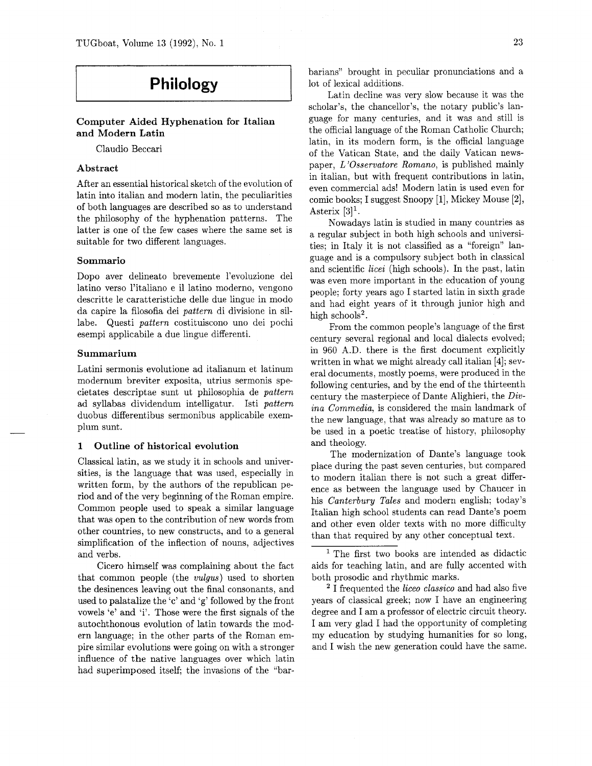# **Philology**

Computer Aided Hyphenation for Italian and Modern Latin

Claudio Beccari

## Abstract

After an essential historical sketch of the evolution of latin into italian and modern latin, the peculiarities of both languages are described so as to understand the philosophy of the hyphenation patterns. The latter is one of the few cases where the same set is suitable for two different languages.

## Sommario

Dopo aver delineato brevemente l'evoluzione del latino verso l'italiano e il latino moderno, vengono descritte le caratteristiche delle due lingue in modo da capire la filosofia dei pattern di divisione in sillabe. Questi pattern costituiscono uno dei pochi esempi applicabile a due lingue differenti.

## Summarium

Latini sermonis evolutione ad italianum et latinum modernurn breviter exposita, utrius sermonis specietates descriptae sunt ut philosophia de pattern ad syllabas dividendum intelligatur. Isti pattern duobus differentibus sermonibus applicabile exemplum sunt.

## 1 Outline of historical evolution

Classical latin, as we study it in schools and universities, is the language that was used, especially in written form, by the authors of the republican period and of the very beginning of the Roman empire. Common people used to speak a similar language that was open to the contribution of new words from other countries, to new constructs, and to a general simplification of the inflection of nouns, adjectives and verbs.

Cicero himself was complaining about the fact that common people (the vu1gus) used to shorten the desinences leaving out the final consonants, and used to palatalize the 'c' and 'g' followed by the front vowels 'e' and 'i'. Those were the first signals of the autochthonous evolution of latin towards the modern language; in the other parts of the Roman empire similar evolutions were going on with a stronger influence of the native languages over which latin had superimposed itself; the invasions of the "barbarians" brought in peculiar pronunciations and a lot of lexical additions.

Latin decline was very slow because it was the scholar's, the chancellor's, the notary public's language for many centuries, and it was and still is the official language of the Roman Catholic Church; latin, in its modern form, is the official language of the Vatican State, and the daily Vatican newspaper, L'Osservatore Romano, is published mainly in italian, but with frequent contributions in latin, even commercial ads! Modern latin is used even for comic books; I suggest Snoopy [I], Mickey Mouse [2], Asterix  $[3]$ <sup>1</sup>.

Nowadays latin is studied in many countries as a regular subject in both high schools and universities; in Italy it is not classified as a "foreign" language and is a compulsory subject both in classical and scientific licei (high schools). In the past, latin was even more important in the education of young people; forty years ago I started latin in sixth grade and had eight years of it through junior high and high schools<sup>2</sup>.

From the common people's language of the first century several regional and local dialects evolved; in 960 A.D. there is the first document explicitly written in what we might already call italian [4]; several documents, mostly poems, were produced in the following centuries, and by the end of the thirteenth century the masterpiece of Dante Alighieri, the Divina Commedia, is considered the main landmark of the new language, that was already so mature as to be used in a poetic treatise of history, philosophy and theology.

The modernization of Dante's language took place during the past seven centuries, but compared to modern italian there is not such a great difference as between the language used by Chaucer in his Canterbury Tales and modern english; today's Italian high school students can read Dante's poem and other even older texts with no more difficulty than that required by any other conceptual text.

<sup>2</sup> I frequented the *liceo classico* and had also five years of classical greek; now I have an engineering degree and I am a professor of electric circuit theory. I am very glad I had the opportunity of completing my education by studying humanities for so long, and I wish the new generation could have the same.

<sup>&</sup>lt;sup>1</sup> The first two books are intended as didactic aids for teaching latin, and are fully accented with both prosodic and rhythmic marks.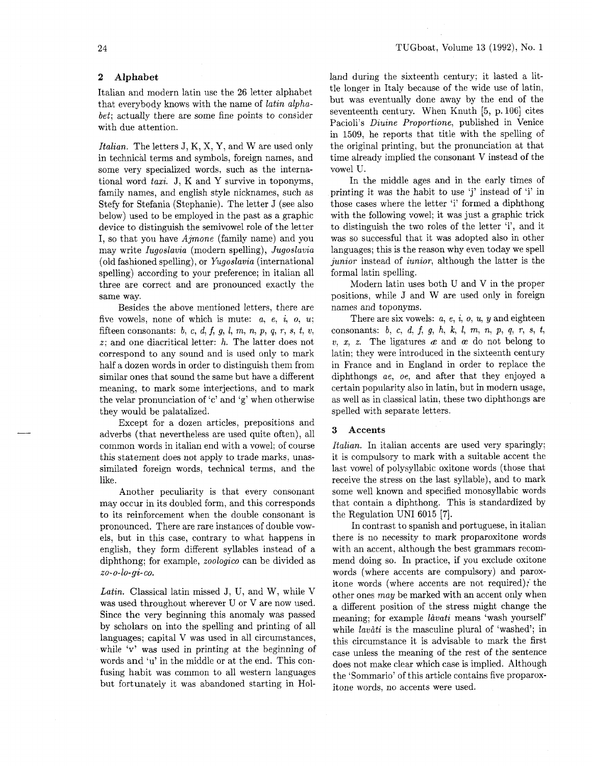# **2 Alphabet**

Italian and modern latin use the 26 letter alphabet that everybody knows with the name of latin alphabet; actually there are some fine points to consider with due attention.

Italian. The letters J, K, X, Y, and W are used only in technical terms and symbols, foreign names, and some very specialized words, such as the international word taxi. J, K and Y survive in toponyms, family names, and english style nicknames, such as Stefy for Stefania (Stephanie). The letter J (see also below) used to be employed in the past as a graphic device to distinguish the semivowel role of the letter I, so that you have  $A\textit{jmone}$  (family name) and you may write Iugoslavia (modern spelling), Jugoslavia (old fashioned spelling), or Yugoslavia (international spelling) according to your preference; in italian all three are correct and are pronounced exactly the same way.

Besides the above mentioned letters, there are five vowels, none of which is mute:  $a, e, i, o, u;$ fifteen consonants:  $b, c, d, f, g, l, m, n, p, q, r, s, t, v,$ z; and one diacritical letter: *h.* The latter does not correspond to any sound and is used only to mark half a dozen words in order to distinguish them from similar ones that sound the same but have a different meaning, to mark some interjections, and to mark the velar pronunciation of 'c' and 'g' when otherwise they would be palatalized.

Except for a dozen articles, prepositions and adverbs (that nevertheless are used quite often), all common words in italian end with a vowel; of course this statement does not apply to trade marks, unassimilated foreign words, technical terms, and the like.

Another peculiarity is that every consonant may occur in its doubled form, and this corresponds to its reinforcement when the double consonant is pronounced. There are rare instances of double vowels, but in this case, contrary to what happens in english, they form different syllables instead of a diphthong; for example, zoologico can be divided as zo- 0-lo-gi- co.

Latin. Classical latin missed J, U, and W, while V was used throughout wherever U or V are now used. Since the very beginning this anomaly was passed by scholars on into the spelling and printing of all languages; capital V was used in all circumstances, while 'v' was used in printing at the beginning of words and 'u' in the middle or at the end. This confusing habit was common to all western languages but fortunately it was abandoned starting in Holland during the sixteenth century; it lasted a little longer in Italy because of the wide use of latin, but was eventually done away by the end of the seventeenth century. When Knuth  $[5, p. 106]$  cites Pacioli's Diuine Proportione, published in Venice in 1509, he reports that title with the spelling of the original printing, but the pronunciation at that time already implied the consonant V instead of the vowel U.

In the middle ages and in the early times of printing it was the habit to use 'j' instead of 'i' in those cases where the letter 'i' formed a diphthong with the following vowel; it was just a graphic trick to distinguish the two roles of the letter 'i', and it was so successful that it was adopted also in other languages; this is the reason why even today we spell junior instead of *iunior*, although the latter is the formal latin spelling.

Modern latin uses both U and V in the proper positions, while J and W are used only in foreign names and toponyms.

There are six vowels:  $a, e, i, o, u, y$  and eighteen consonants: b, c, d, f, g, h, **k,** I, m, n, p, q, r, s, *t,*   $v, x, z$ . The ligatures  $\alpha$  and  $\alpha$  do not belong to latin; they were introduced in the sixteenth century in France and in England in order to replace the diphthongs ae, oe, and after that they enjoyed a certain popularity also in latin, but in modern usage, as well as in classical latin, these two diphthongs are spelled with separate letters.

# **3 Accents**

Italian. In italian accents are used very sparingly; it is compulsory to mark with a suitable accent the last vowel of polysyllabic oxitone words (those that receive the stress on the last syllable), and to mark some well known and specified monosyllabic words that contain a diphthong. This is standardized by the Regulation UNI 6015 [7].

In contrast to spanish and portuguese, in italian there is no necessity to mark proparoxitone words with an accent, although the best grammars recommend doing so. In practice, if you exclude oxitone words (where accents are compulsory) and paroxitone words (where accents are not required)? the other ones may be marked with an accent only when a different position of the stress might change the meaning; for example *làvati* means 'wash yourself' while *lavati* is the masculine plural of 'washed'; in this circumstance it is advisable to mark the first case unless the meaning of the rest of the sentence does not make clear which case is implied. Although the 'Sommario' of this article contains five proparoxitone words, no accents were used.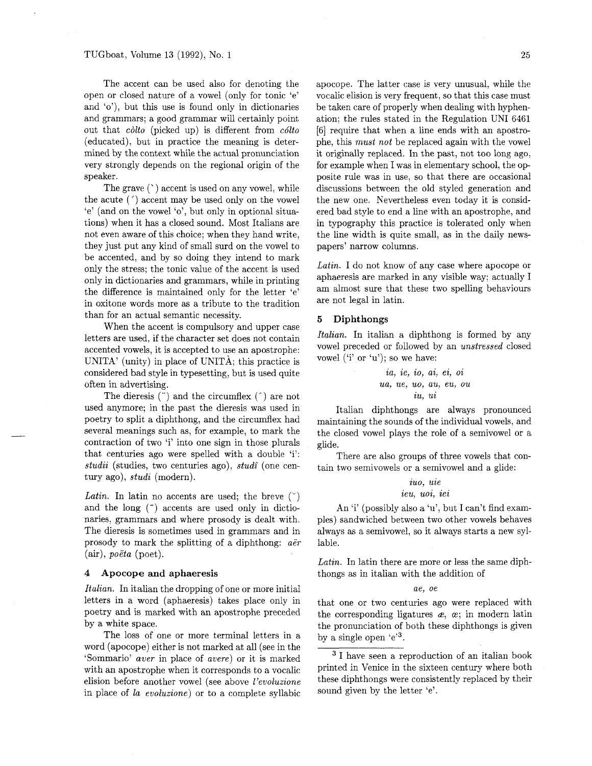The accent can be used also for denoting the open or closed nature of a vowel (only for tonic 'e' and 'o'), but this use is found only in dictionaries and grammars; a good grammar will certainly point out that *cdto* (picked up) is different from *cdlto*  (educated), but in practice the meaning is determined by the context while the actual pronunciation very strongly depends on the regional origin of the speaker.

The grave  $($   $)$  accent is used on any vowel, while the acute (') accent may be used only on the vowel 'e' (and on the vowel 'o', but only in optional situations) when it has a closed sound. Most Italians are not even aware of this choice; when they hand write, they just put any kind of small surd on the vowel to be accented, and by so doing they intend to mark only the stress; the tonic value of the accent is used only in dictionaries and grammars, while in printing the difference is maintained only for the letter 'e' in oxitone words more as a tribute to the tradition than for an actual semantic necessity.

When the accent is compulsory and upper case letters are used, if the character set does not contain accented vowels, it is accepted to use an apostrophe: UNITA' (unity) in place of UNITA; this practice is considered bad style in typesetting, but is used quite often in advertising.

The dieresis (") and the circumflex (\*) are not used anymore; in the past the dieresis was used in poetry to split a diphthong, and the circumflex had several meanings such as, for example, to mark the contraction of two 'i' into one sign in those plurals that centuries ago were spelled with a double 'i': *studii* (studies, two centuries ago), *stud;* (one century ago), *studi* (modern).

*Latin.* In latin no accents are used; the breve  $(\gamma)$ and the long  $($ <sup>-</sup> $)$  accents are used only in dictionaries, grammars and where prosody is dealt with. The dieresis is sometimes used in grammars and in prosody to mark the splitting of a diphthong: *aer*  (air), *poeta* (poet).

### **4 Apocope and aphaeresis**

*Italian.* In italian the dropping of one or more initial letters in a word (aphaeresis) takes place only in poetry and is marked with an apostrophe preceded by a white space.

The loss of one or more terminal letters in a word (apocope) either is not marked at all (see in the 'Sommario' *aver* in place of *avere)* or it is marked with an apostrophe when it corresponds to a vocalic elision before another vowel (see above *l'evoluzione*  in place of *la evoluzione)* or to a complete syllabic apocope. The latter case is very unusual, while the vocalic elision is very frequent, so that this case must be taken care of properly when dealing with hyphenation; the rules stated in the Regulation UNI 6461 [6] require that when a line ends with an apostrophe, this *must not* be replaced again with the vowel it originally replaced. In the past, not too long ago, for example when I was in elementary school, the opposite rule was in use, so that there are occasional discussions between the old styled generation and the new one. Nevertheless even today it is considered bad style to end a line with an apostrophe, and in typography this practice is tolerated only when the line width is quite small, as in the daily newspapers' narrow columns.

*Latin.* I do not know of any case where apocope or aphaeresis are marked in any visible way; actually I am almost sure that these two spelling behaviours are not legal in latin.

## **5 Diphthongs**

*Italian.* In italian a diphthong is formed by any vowel preceded or followed by an *unstressed* closed vowel ('i' or 'u'); so we have:

$$
ia, ie, io, ai, ei,oiua, ue, uo, au, eu, ouiu, ui
$$

Italian diphthongs are always pronounced maintaining the sounds of the individual vowels, and the closed vowel plays the role of a semivowel or a glide.

There are also groups of three vowels that contain two semivowels or a semivowel and a glide:

# *iuo, uie ieu, uoi, iei*

An 'i' (possibly also a 'u', but I can't find examples) sandwiched between two other vowels behaves always as a semivowel, so it always starts a new syllable.

*Latin.* In latin there are more or less the same diphthongs as in italian with the addition of

#### *ae, oe*

that one or two centuries ago were replaced with the corresponding ligatures  $\boldsymbol{x}$ ,  $\boldsymbol{x}$ ; in modern latin the pronunciation of both these diphthongs is given by a single open 'e'3.

<sup>3</sup> I have seen a reproduction of an italian book printed in Venice in the sixteen century where both these diphthongs were consistently replaced by their sound given by the letter 'e'.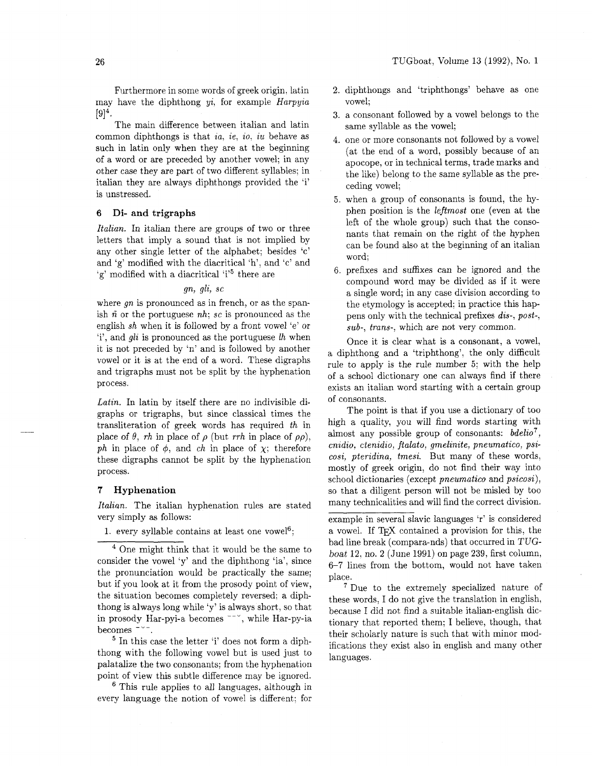Furthermore in some words of greek origin, latin may have the diphthong  $yi$ , for example  $Harpyia$  $[9]^4$ .

The main difference between italian and latin common diphthongs is that ia, ie, io, iu behave as such in latin only when they are at the beginning of a word or are preceded by another vowel; in any other case they are part of two different syllables; in italian they are always diphthongs provided the 'i' is unstressed.

## **6 Di- and trigraphs**

Italian. In italian there are groups of two or three letters that imply a sound that is not implied by any other single letter of the alphabet; besides 'c' and 'g' modified with the diacritical 'h', and 'c' and 'g' modified with a diacritical 'i'<sup>5</sup> there are

## gn, gli, sc

where  $gn$  is pronounced as in french, or as the spanish  $\tilde{n}$  or the portuguese nh; sc is pronounced as the english sh when it is followed by a front vowel 'e' or 'i', and gli is pronounced as the portuguese lh when it is not preceded by 'n' and is followed by another vowel or it is at the end of a word. These digraphs and trigraphs must not be split by the hyphenation process.

Latin. In latin by itself there are no indivisible digraphs or trigraphs, but since classical times the transliteration of greek words has required th in place of  $\theta$ , *rh* in place of  $\rho$  (but *rrh* in place of  $\rho \rho$ ), ph in place of  $\phi$ , and *ch* in place of  $\chi$ ; therefore these digraphs cannot be split by the hyphenation process.

### **7 Hyphenation**

Italian. The italian hyphenation rules are stated very simply as follows:

1. every syllable contains at least one vowel<sup>6</sup>;

 $5$  In this case the letter 'i' does not form a diphthong with the following vowel but is used just to palatalize the two consonants; from the hyphenation point of view this subtle difference may be ignored.

<sup>6</sup> This rule applies to all languages, although in every language the notion of vowel is different; for

- 2. diphthongs and 'triphthongs' behave as one vowel;
- a consonant followed by a vowel belongs to the same syllable as the vowel;
- one or more consonants not followed by a vowel (at the end of a word, possibly because of an apocope, or in technical terms, trade marks and the like) belong to the same syllable as the preceding vowel;
- when a group of consonants is found, the hyphen position is the leftmost one (even at the left of the whole group) such that the consonants that remain on the right of the hyphen can be found also at the beginning of an italian word;
- prefixes and suffixes can be ignored and the compound word may be divided as if it were a single word; in any case division according to the etymology is accepted; in practice this happens only with the technical prefixes dis-, post-, sub-, trans-, which are not very common.

Once it is clear what is a consonant, a vowel, a diphthong and a 'triphthong', the only difficult rule to apply is the rule number *5;* with the help of a school dictionary one can always find if there exists an italian word starting with a certain group of consonants.

The point is that if you use a dictionary of too high a quality, you will find words starting with almost any possible group of consonants:  $bdelio<sup>7</sup>$ , cnidio, ctenidio, ftalato, gmelinite, pneumatico, psicosi, pteridina, tmesi. But many of these words, mostly of greek origin, do not find their way into school dictionaries (except pneumatico and psicosi), so that a diligent person will not be misled by too many technicalities and will find the correct division.

example in several slavic languages 'r' is considered a vowel. If TEX contained a provision for this, the bad line break (compara-nds) that occurred in TUGboat 12, no. 2 (June 1991) on page 239, first column, 6-7 lines from the bottom, would not have taken place.

Due to the extremely specialized nature of these words, I do not give the translation in english, because I did not find a suitable italian-english dictionary that reported them; I believe, though, that their scholarly nature is such that with minor modifications they exist also in english and many other languages.

One might think that it would be the same to consider the vowel 'y' and the diphthong 'ia', since the pronunciation would be practically the same; but if you look at it from the prosody point of view, the situation becomes completely reversed; a diphthong is always long while 'y' is always short, so that in prosody Har-pyi-a becomes  $\sim$ , while Har-py-ia becomes ---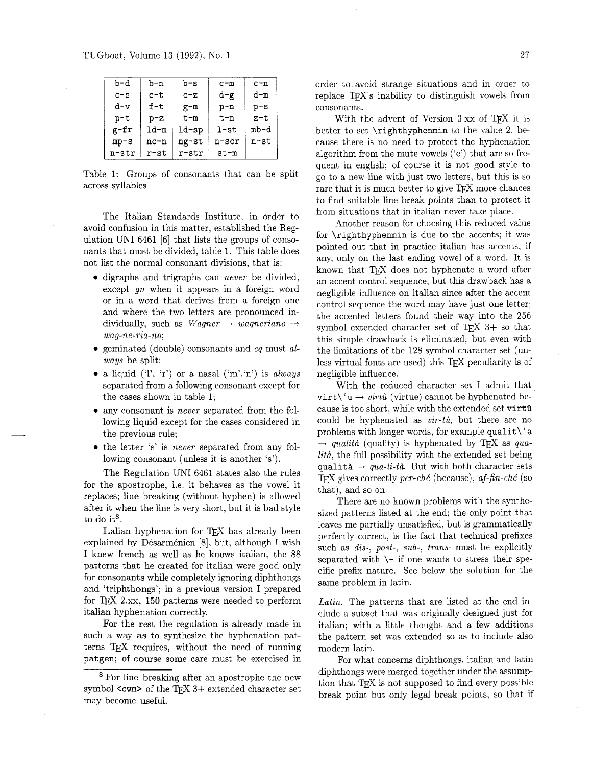| b-d     | b-n     | b-s      | $c - m$    | $c - n$ |
|---------|---------|----------|------------|---------|
| $c - s$ | $c-t$   | $c - z$  | d-g        | d-m     |
| $d-v$   | $f-t$   | $g-m$    | $p - n$    | $p-s$   |
| $p-t$   | $p-z$   | $t - m$  | $t - n$    | $z-t$   |
| g-fr    | $1d-m$  | $1d$ -sp | $1-$ st    | mb-d    |
| $mp-s$  | $nc-n$  | ng-st    | $n - s$ cr | $n$ -st |
| n-str   | $r$ -st | r-str    | $st-m$     |         |

Table 1: Groups of consonants that can be split across syllables

The Italian Standards Institute, in order to avoid confusion in this matter, established the Regulation UNI 6461 [6] that lists the groups of consonants that must be divided, table 1. This table does not list the normal consonant divisions, that is:

- digraphs and trigraphs can never be divided, except gn when it appears in a foreign word or in a word that derives from a foreign one and where the two letters are pronounced individually, such as  $Wagner \rightarrow wagneriano \rightarrow$ wag-ne-ria-no;
- geminated (double) consonants and  $cq$  must always be split;
- a liquid  $('l', 'r')$  or a nasal  $('m', 'n')$  is *always* separated from a following consonant except for the cases shown in table 1;
- any consonant is never separated from the following liquid except for the cases considered in the previous rule;
- the letter 's' is *never* separated from any following consonant (unless it is another 's').

The Regulation UNI 6461 states also the rules for the apostrophe, i.e. it behaves as the vowel it replaces; line breaking (without hyphen) is allowed after it when the line is very short, but it is bad style to do it $8$ .

Italian hyphenation for TEX has already been explained by Désarménien [8], but, although I wish I knew french as well as he knows italian, the 88 patterns that he created for italian were good only for consonants while completely ignoring diphthongs and 'triphthongs'; in a previous version I prepared for TEX **2.xq** 150 patterns were needed to perform italian hyphenation correctly.

For the rest the regulation is already made in such a way as to synthesize the hyphenation patterns TEX requires, without the need of running **patgen;** of course some care must be exercised in order to avoid strange situations and in order to replace TEX's inability to distinguish vowels from consonants.

With the advent of Version  $3.xx$  of T<sub>E</sub>X it is better to set **\righthyphenmin** to the value 2, because there is no need to protect the hyphenation algorithm from the mute vowels  $('e')$  that are so frequent in english; of course it is not good style to go to a new line with just two letters, but this is so rare that it is much better to give T<sub>EX</sub> more chances to find suitable line break points than to protect it from situations that in italian never take place.

Another reason for choosing this reduced value for **\righthyphenmin** is due to the accents; it was pointed out that in practice italian has accents, if any, only on the last ending vowel of a word. It is known that TFX does not hyphenate a word after an accent control sequence, but this drawback has a negligible influence on italian since after the accent control sequence the word may have just one letter; the accented letters found their way into the 256 symbol extended character set of  $TFX$   $3+$  so that this simple drawback is eliminated, but even with the limitations of the 128 symbol character set (unless virtual fonts are used) this TEX peculiarity is of negligible influence.

With the reduced character set I admit that  $\text{virt}\$ <sup>'</sup>**u**  $\rightarrow$  *virtu*<sup>'</sup> (virtue) cannot be hyphenated because is too short, while with the extended set **virta**  could be hyphenated as  $vir-t\dot{u}$ , but there are no problems with longer words, for example **qualit\' a**   $\rightarrow$  qualità (quality) is hyphenated by TEX as qualità, the full possibility with the extended set being qualità  $\rightarrow$  qua-li-tà. But with both character sets TFX gives correctly per-ché (because), af-fin-ché (so that), and so on.

There are no known problems with the synthesized patterns listed at the end; the only point that leaves me partially unsatisfied, but is grammatically perfectly correct, is the fact that technical prefixes such as *dis-*, post-, sub-, trans- must be explicitly separated with  $\setminus$ - if one wants to stress their specific prefix nature. See below the solution for the same problem in latin.

Latin. The patterns that are listed at the end include a subset that was originally designed just for italian; with a little thought and a few additions the pattern set was extended so as to include also modern latin.

For what concerns diphthongs, italian and latin diphthongs were merged together under the assumption that TFX is not supposed to find every possible break point but only legal break points, so that if

<sup>&</sup>lt;sup>8</sup> For line breaking after an apostrophe the new symbol <cwm> of the TEX 3+ extended character set may become useful.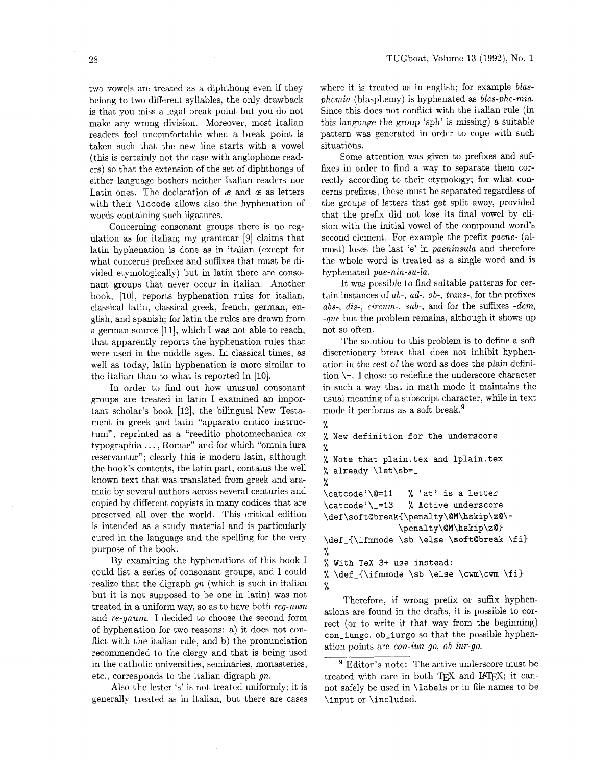two vowels are treated as a diphthong even if they belong to two different syllables, the only drawback is that you miss a legal break point but you do not make any wrong division. Moreover. most Italian readers feel uncomfortable when a break point is taken such that the new line starts with a vowel (this is certainly not the case with anglophone readers) so that the extension of the set of diphthongs of either language bothers neither Italian readers nor Latin ones. The declaration of  $\alpha$  and  $\alpha$  as letters with their **\lccode** allows also the hyphenation of words containing such ligatures.

Concerning consonant groups there is no regulation as for italian; my grammar [9] claims that latin hyphenation is done as in italian (except for what concerns prefixes and suffixes that must be divided etymologically) but in latin there are consonant groups that never occur in italian. Another book, [lo], reports hyphenation rules for italian, classical latin, classical greek, french, german, english, and spanish; for latin the rules are drawn from a german source [ll], which I was not able to reach, that apparently reports the hyphenation rules that were used in the middle ages. In classical times, as well as today, latin hyphenation is more similar to the italian than to what is reported in [10].

In order to find out how unusual consonant groups are treated in latin I examined an important scholar's book [12], the bilingual New Testament in greek and latin "apparato critico instructum", reprinted as a "reeditio photomechanica ex typographia . . . , Romae" and for which "omnia iura reservantur"; clearly this is modern latin, although the book's contents, the latin part, contains the well known text that was translated from greek and aramaic by several authors across several centuries and copied by different copyists in many codices that are preserved all over the world. This critical edition is intended as a study material and is particularly cured in the language and the spelling for the very purpose of the book.

By examining the hyphenations of this book I could list a series of consonant groups, and I could realize that the digraph  $gn$  (which is such in italian but it is not supposed to be one in latin) was not treated in a uniform way, so as to have both reg-num and re-gnum. I decided to choose the second form of hyphenation for two reasons: a) it does not conflict with the italian rule, and b) the pronunciation recommended to the clergy and that is being used in the catholic universities, seminaries, monasteries,  $\frac{9 \text{ Editor's note: The active underscore must be}}{\text{treated with care in both TFX and IATEX; it can-}}$ 

generally treated as in italian, but there are cases **\input** or **\included.** 

where it is treated as in english; for example *blas* $phenia$  (blasphemy) is hyphenated as  $blas$ -phe-mia. Since this does not conflict with the italian rule (in this language the group 'sph' is missing) a suitable pattern was generated in order to cope with such situations.

Some attention was given to prefixes and suffixes in order to find a way to separate them correctly according to their etymology; for what concerns prefixes, these must be separated regardless of the groups of letters that get split away, provided that the prefix did not lose its final vowel by elision with the initial vowel of the compound word's second element. For example the prefix paene- (almost) loses the last 'e' in paeninsula and therefore the whole word is treated as a single word and is hyphenated pae-nin-su-la.

It was possible to find suitable patterns for certain instances of ab-, ad-, ob-, trans-, for the prefixes abs-, dis-, circum-, sub-, and for the suffixes  $-dem$ , -que but the problem remains, although it shows up not so often.

The solution to this problem is to define a soft discretionary break that does not inhibit hyphenation in the rest of the word as does the plain definition  $\setminus$ -. I chose to redefine the underscore character in such a way that in math mode it maintains the usual meaning of a subscript character, while in text mode it performs as a soft break.<sup>9</sup>

```
% 
% New definition for the underscore 
% 
% Note that plain.tex and 1plain.tex 
% already \let\sb=- 
% 
\catcodeC\@=ll % 'at' is a letter 
\catcodeC\-=I3 % Active underscore 
\def\soft@break(\penalty\@M\hskip\z@\- 
                \penalty\@M\hskip\z@> 
\def-{\ifmode \sb \else \soft@break \fi> 
% 
% With TeX 3+ use instead: 
% \def-(\ifmmode \sb \else \cwm\cwm \fi3 
%
```
Therefore, if wrong prefix or suffix hyphenations are found in the drafts, it is possible to correct (or to write it that way from the beginning) **con-iungo, ob-iurgo** so that the possible hyphenation points are con-iun-go, ob-iur-go.

corresponds to the italian digraph gn. treated with care in both TEX and L<sup>AT</sup>EX; it can-<br>Also the letter 's' is not treated uniformly; it is not safely be used in **labels** or in file names to be not safely be used in **\labels** or in file names to be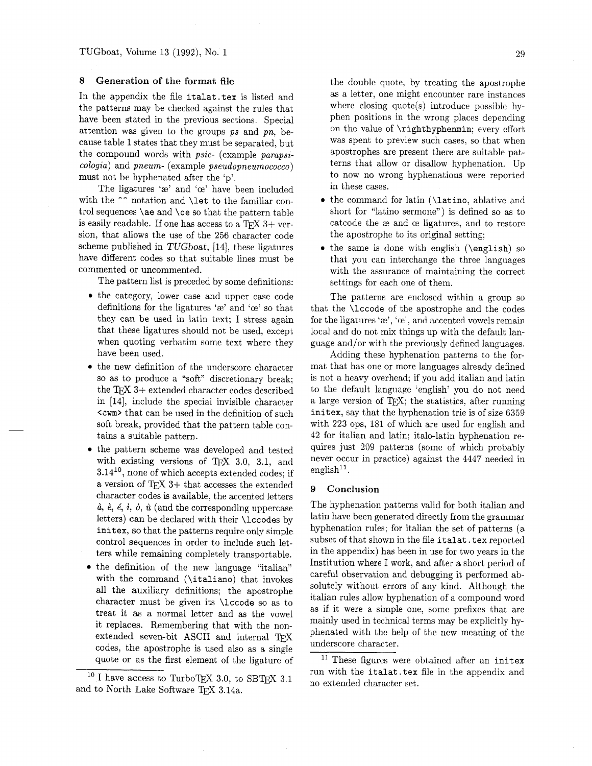## **8** Generation of the format file

In the appendix the file italat .tex is listed and the patterns may be checked against the rules that have been stated in the previous sections. Special attention was given to the groups  $ps$  and  $pn$ , because table 1 states that they must be separated, but the compound words with psic- (example parapsicologia) and pneum- (example pseudopneumococco) must not be hyphenated after the 'p'.

The ligatures ' $x$ ' and ' $x$ ' have been included with the  $\sim$  notation and \let to the familiar control sequences \ae and \oe so that the pattern table is easily readable. If one has access to a  $T_F X$  3+ version, that allows the use of the 256 character code scheme published in TUGboat, [14], these ligatures have different codes so that suitable lines must be commented or uncommented.

The pattern list is preceded by some definitions:

- the category, lower case and upper case code definitions for the ligatures ' $\mathbf{e}$ ' and ' $\mathbf{e}$ ' so that they can be used in latin text; I stress again that these ligatures should not be used, except when quoting verbatim some text where they have been used.
- $\bullet\,$  the new definition of the underscore character so as to produce a "soft" discretionary break; the T $\cancel{FX}$  3+ extended character codes described in [14], include the special invisible character **<cwm** that can be used in the definition of such soft break, provided that the pattern table contains a suitable pattern.
- the pattern scheme was developed and tested with existing versions of  $Tr[X \ 3.0, 3.1, \nand$  $3.14^{10}$ , none of which accepts extended codes; if a version of  $T_{F}X$  3+ that accesses the extended character codes is available, the accented letters  $\dot{a}$ ,  $\dot{e}$ ,  $\dot{e}$ ,  $\dot{i}$ ,  $\dot{\phi}$ ,  $\dot{u}$  (and the corresponding uppercase letters) can be declared with their \lccodes by initex, so that the patterns require only simple control sequences in order to include such letters while remaining completely transportable.
- the definition of the new language "italian" with the command (\italiano) that invokes all the auxiliary definitions; the apostrophe character must be given its \lccode so as to treat it as a normal letter and as the vowel it replaces. Remembering that with the nonextended seven-bit ASCII and internal codes, the apostrophe is used also as a single quote or as the first element of the ligature of

the double quote, by treating the apostrophe as a letter, one might encounter rare instances where closing quote(s) introduce possible hyphen positions in the wrong places depending on the value of \righthyphenmin; every effort was spent to preview such cases, so that when apostrophes are present there are suitable patterns that allow or disallow hyphenation. Up to now no wrong hyphenations were reported in these cases.

- the command for latin (\latino, ablative and short for "latino sermone") is defined so as to catcode the ae and ce ligatures, and to restore the apostrophe to its original setting;
- $\bullet$  the same is done with english (\english) so that you can interchange the three languages with the assurance of maintaining the correct settings for each one of them.

The patterns are enclosed within a group so that the \lccode of the apostrophe and the codes for the ligatures ' $\alpha$ ', ' $\alpha$ ', and accented vowels remain local and do not mix things up with the default language and/or with the previously defined languages.

Adding these hyphenation patterns to the format that has one or more languages already defined is not a heavy overhead; if you add italian and latin to the default language 'english' you do not need a large version of TFX; the statistics, after running initex, say that the hyphenation trie is of size 6359 with 223 ops, 181 of which are used for english and 42 for italian and latin; italo-latin hyphenation requires just 209 patterns (some of which probably never occur in practice) against the 4447 needed in english<sup>11</sup>.

## **9** Conclusion

The hyphenation patterns valid for both italian and latin have been generated directly from the grammar hyphenation rules; for italian the set of patterns (a subset of that shown in the file italat . tex reported in the appendix) has been in use for two years in the Institution where I work, and after a short period of careful observation and debugging it performed absolutely without errors of any kind. Although the italian rules allow hyphenation of a compound word as if it were a simple one, some prefixes that are mainly used in technical terms may be explicitly hyphenated with the help of the new meaning of the underscore character.

<sup>11</sup> These figures were obtained after an initex run with the italat . tex file in the appendix and no extended character set.

<sup>&</sup>lt;sup>10</sup> I have access to TurboTFX 3.0, to SBTFX 3.1 and to North Lake Software TFX 3.14a.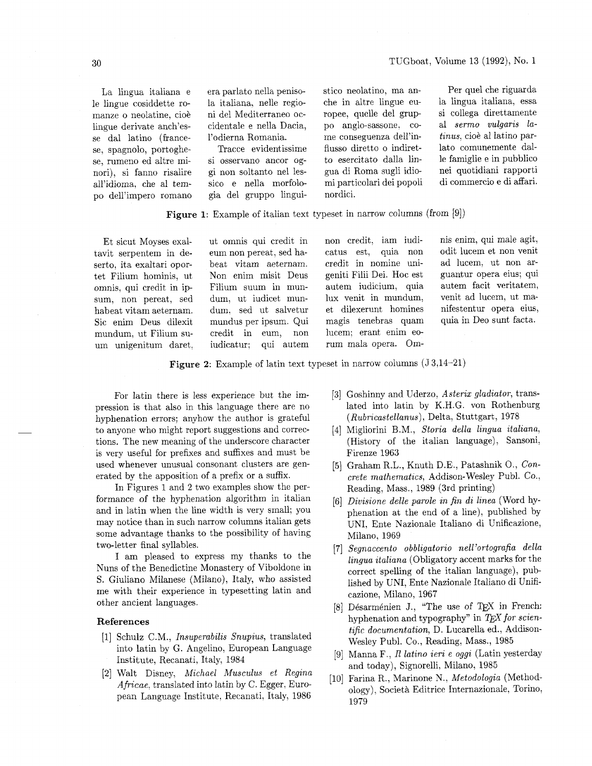La lingua italiana e le lingue cosiddette romanze o neolatine, cioè lingue derivate anch'esse dal latino (francese, spagnolo, portoghese, rumeno ed altre minori), si fanno risalire all'idioma, che a1 tempo dell'impero romano era parlato nella penisola italiana, nelle regioni del Mediterraneo occidentale e nella Dacia, l'odierna Romania.

Tracce evidentissime si osservano ancor oggi non soltanto nel lessico e nella morfologia del gruppo linguistico neolatino, ma anche in altre lingue europee, quelle del gruppo anglo-sassone, come conseguenza dell'influsso diretto o indiretto esercitato dalla lingua di Roma sugli idiomi particolari dei popoli nordici.

Per quel che riguarda la lingua italiana, essa si collega direttamente a1 sermo vulgaris latinus, cioè al latino parlato comunemente dalle famiglie e in pubblico nei quotidiani rapporti di commercio e di affari.

**Figure 1:** Example of italian text typeset in narrow columns (from [9])

Et sicut Moyses exaltavit serpentem in deserto, ita exaltari oportet Filium hominis, ut omnis, qui credit in ipsum, non pereat, sed habeat vitam aeternam. Sic enim Deus dilexit mundum, ut Filium suum unigenitum daret, ut omnis qui credit in eum non pereat, sed habeat vitam aeternam. Non enim misit Deus Filium suum in mundum, ut iudicet mundum, sed ut salvetur mundus per ipsum. Qui credit in eum, non iudicatur; qui autem

non credit, iam iudicatus est, quia non credit in nomine unigeniti Filii Dei. Hoc est autem iudicium, quia lux venit in mundum, et dilexerunt homines magis tenebras quam lucem; erant enim eorum mala opera. Omnis enim, qui male agit, odit lucem et non venit ad lucem, ut non arguantur opera eius; qui autem facit veritatem, venit ad lucem, ut manifestentur opera eius, quia in Deo sunt facta.

**Figure 2:** Example of latin text typeset in narrow columns (J 3,14-21)

For latin there is less experience but the impression is that also in this language there are no hyphenation errors; anyhow the author is grateful to anyone who might report suggestions and corrections. The new meaning of the underscore character is very useful for prefixes and suffixes and must be used whenever unusual consonant clusters are generated by the apposition of a prefix or a suffix.

In Figures 1 and 2 two examples show the performance of the hyphenation algorithm in italian and in latin when the line width is very small; you may notice than in such narrow columns italian gets some advantage thanks to the possibility of having two-letter final syllables.

I am pleased to express my thanks to the Nuns of the Benedictine Monastery of Viboldone in S. Giuliano Milanese (Milano), Italy, who assisted me with their experience in typesetting latin and other ancient languages.

# **References**

- [I] Schulz C.M., Insuperabilis Snupius, translated into latin by G. Angelino, European Language Institute, Recanati, Italy, 1984
- [2] Walt Disney, Michael Musculus et Regina Africae, translated into latin by C. Egger, European Language Institute, Recanati, Italy, 1986
- [3] Goshinny and Uderzo, Asterix gladiator, translated into latin by K.H.G. von Rothenburg (Rubricastellanus), Delta, Stuttgart, 1978
- Migliorini B.M., Storia della lingua italiana, (History of the italian language), Sansoni, Firenze 1963
- [5] Graham R.L., Knuth D.E., Patashnik O., Concrete mathematics, Addison-Wesley Publ. Co., Reading, Mass., 1989 (3rd printing)
- Divisione delle parole in fin di linea (Word hyphenation at the end of a line), published by UNI, Ente Nazionale Italiano di Unificazione, Milano, 1969
- Segnaccento obbligatorio nell'ortografia della lingua italiana (Obligatory accent marks for the correct spelling of the italian language), published by UNI, Ente Nazionale Italiano di Unificazione, Milano, 1967
- [8] Désarménien J., "The use of TEX in French: hyphenation and typography" in  $T_{E}X$  for scientific documentation, D. Lucarella ed., Addison-Wesley Publ. Co., Reading, Mass., 1985
- [9] Manna F., I1 latino ieri e oggi (Latin yesterday and today), Signorelli, Milano, 1985
- [10] Farina R., Marinone N., Metodologia (Methodology), Societh Editrice Internazionale, Torino, 1979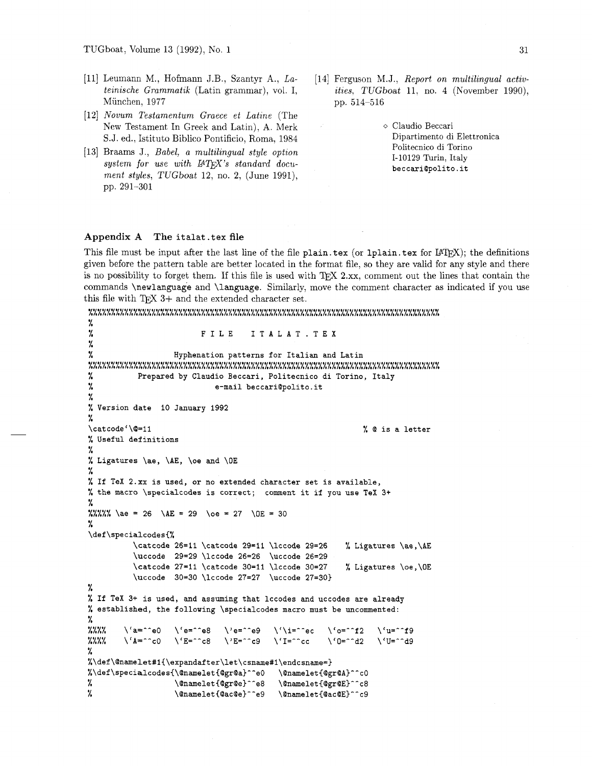- Leumann M., Hofmann J.B., Szantyr A., *Lateinische Grammatik* (Latin grammar), vol. I, Miinchen, 1977
- *Nouum Testamentum Graece et Latine* (The New Testament In Greek and Latin), A. Merk S.J. ed., Istituto Biblico Pontificio, Roma, 1984
- Braams J., *Babel,* a *multilingual style option*  system for use with  $\mu T_F X$ 's standard docu*ment styles,* TUGboat 12, no. 2, (June 1991), pp. 291-301
- [14] Ferguson M.J., *Report on multilingual activities,* TUGboat 11, no. 4 (November 1990), pp. 514-516
	- o Claudio Beccari Dipartimento di Elettronica Politecnico di Torino 1-10129 Turin, Italy beccariQpolito.it

### **Appendix A The** italat . tex file

This file must be input after the last line of the file plain. tex (or 1plain. tex for  $I\rightarrow I\rightarrow I$ ); the definitions given before the pattern table are better located in the format file, so they are valid for any style and there is no possibility to forget them. If this file is used with TFX 2.xx, comment out the lines that contain the commands \newlanguage and \language. Similarly, move the comment character as indicated if you use this file with T<sub>E</sub>X  $3+$  and the extended character set.

```
11110111118~~111I0011111~~~1118~111~11111~1911111111111111111181~~~011~~1111~1 LLLLLLLLLLLLLLLLLLLLLLLLLLLLLLLLLLLLLLLLLLLLLLLLLLLLLLLLLLLLLLLLLLLLLLLLLLLLLL 
% 
% FILE 1TALAT.TEX 
% 
% Hyphenation patterns for Italian and Latin 
11008001#1011111#10~1011~11~11111~11~~~111~~1~111111~11~11~1~1~~~1~~~11~~11111 LLLLLLLLLLLLLLLLLLLLLLLLLLLLLLLLLLLLLLLLLLLLLLLLLLLLLLLLLLLLLLLLLLLLLLLLLLLLLL 
% Prepared by Claudio Beccari, Politecnico di Torino, Italy 
% e-mail beccari@polito.it
% 
% Version date 10 January 1992 
% 
\catcodel\@=ll 
                                                                        % Q is a letter 
% Useful definitions 
% 
% Ligatures \ae, \AE, \oe 
and \OE 
% 
% If TeX 2.xx is used, or 
no extended character set is available, 
% the macro \specialcodes 
is correct; comment it if you use TeX 3+ 
%<br>%%%% \ae = 26 \AE = 29 \oe = 27 \OE = 30
% 
\def\specialcodes{% 
           \catcode 26=11 \catcode 29=11 \lccode 29=26 % Ligatures \ae,\AE 
           \uccode 29=29 \lccode 26=26 \uccode 26=29 
            \catcode 27=11 \catcode 30=11 \licode 30=27 % Ligatures \oe, \OE
            \uccode 30=30 \lccode 27=27 \uccode 27=30) 
% 
% If TeX 3+ is used, and assuming that lccodes and uccodes are already 
% established, the following \specialcodes macro must be uncommented: 
%<br>%%%% \'a=^^e0 \'e=^^e8 \'e=^^e9 \'\i=^^ec \'o=^^f2 \'u=^^f9
I,.... \sqrt{2} \sqrt{6} \sqrt{3} \sqrt{2} \sqrt{6} \sqrt{2} \sqrt{1} \sqrt{2} \sqrt{1} \sqrt{2} \sqrt{1} \sqrt{2} \sqrt{1} \sqrt{2} \sqrt{1} \sqrt{2} \sqrt{1} \sqrt{2} \sqrt{1} \sqrt{2} \sqrt{1} \sqrt{2} \sqrt{1} \sqrt{2} \sqrt{1} \sqrt{2} \sqrt{1% 
%\def\@namelet#1{\expandafter\let\csname#l\endcsnme=) %\def\specialcodes{\@namelet{@gr@a}^^e0
                                                 \@namelet{@gr@A}^^cO
                      \verb|\@namelet{@gr@e}^^e8٧.
                                                  \@namelet{@gr@E}^^c8
%
                      \@namelet{@ac@e}^^e9
                                                  \@namelet{@ac@E}^^c9
```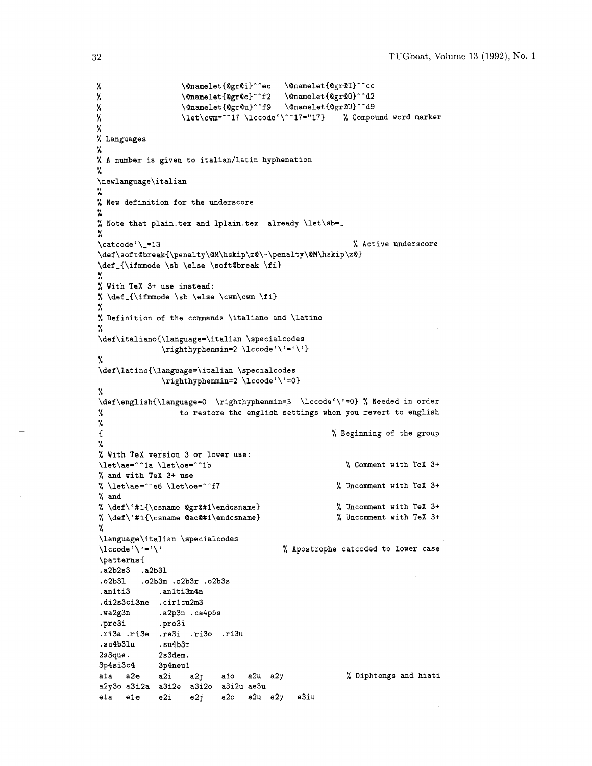```
\pmb{\%}\Qnamelet{QgrQi)^^ec \Qnamelet{QgrQI)^^cc 
                   \@namelet{@gr@o}^^f2 \@namelet{@gr@O}^^d2<br>\@namelet{@gr@u}^^f9 \@namelet{@gr@U}^^d9
%
                                          \Qnamelet{QgrQu)^-f9 \QnameletIQgrQU)--d9 
%
                   \let\cum = ^17 \ \lvert\!\csc\right.^* 17 \ \lvert\!\csc\right.^* 17 = "17} % Compound word marker
%
٧.
% Languages 
% 
% A number is given to italian/latin hyphenation 
% 
\newlanguage\italian 
% 
% New definition for the underscore 
% 
% Note that plain.tex and 1plain.tex already \let\sb=- 
% 
\text{Value} \{\text{Value} \}\def\soft@break{\penalty\@M\hskip\z@\-\penalty\@M\hskip\z@}
\def-{\ifmode \sb \else \softQbreak \fi) 
% 
% With TeX 3+ use instead: 
% \det_{\imath}% 
% Definition of the commands \italiano and \latino 
% 
\def\italiano{\language=\italian \specialcodes 
              \rightarrow% 
\def\latino{\language=\italian \specialcodes 
              \righthyphenmin=2 \lccode ' \ ' =O) 
% 
\def\english{\language=O \righthyphenmin=3 \lccode'\'=O) % Needed in order 
% to restore the english settings when you revert to english 
% 
I % Beginning of the group 
7, 
% With TeX version 3 or lower use: 
\left\{ \left( \left( \frac{1}{1 + \alpha} \right)^n \right) \right\} \left\{ \left( \left( \frac{1}{1 + \alpha} \right)^n \right) \right\} \left\{ \left( \frac{1}{1 + \alpha} \right)^n \right\} Comment with TeX 3+
% and with TeX 3+ use 
% \let\ae="c6 \let\oe="f7 % Uncomment with TeX 3+
% and 
%\def\'#1{\csname @gr@#1\endcsname} % Uncomment with TeX 3+
% \def\'#lI\csname QacQ#l\endcsname) % Uncomment with TeX 3+ 
% 
\language\italian \specialcodes 
\lccode'\'='\' % Apostrophe catcoded to lower case 
\patterns{ 
. a2b2s3 . a2b3l 
.o2b31 .o2b3m .o2b3r .o2b3s 
. anlti3 . anlti3m4n 
.di2s3ci3ne .cirlcu2m3 
. wa2g3n .a2p3n .ca4p5s 
.pre3i .pro3i 
.ri3a .ri3e .re3i .rid0 .ri3u 
. su4b31u . su4b3r 
2 s 3que. 2s3dem. 
3p4si3c4 3p4neul 
                                                       % Diphtongs and hiati a1a a2e a2i a2j a1o a2u a2y
a2y30 a3i2a a3i2e a3i20 a3i2u ae3u 
ela ele e2i e2j e20 e2u e2y e3iu
```
32